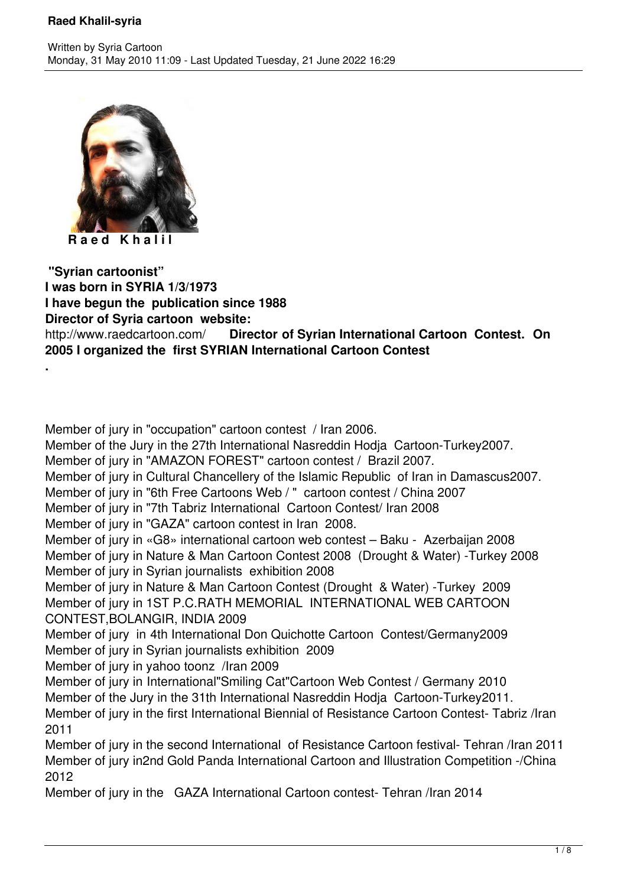

**R a e d K h a l i l**

**.**

 **"Syrian cartoonist" I was born in SYRIA 1/3/1973 I have begun the publication since 1988 Director of Syria cartoon website:** http://www.raedcartoon.com/ **Director of Syrian International Cartoon Contest. On 2005 I organized the first SYRIAN International Cartoon Contest**

Member of jury in "occupation" cartoon contest / Iran 2006. Member of the Jury in the 27th International Nasreddin Hodja Cartoon-Turkey2007. Member of jury in "AMAZON FOREST" cartoon contest / Brazil 2007. Member of jury in Cultural Chancellery of the Islamic Republic of Iran in Damascus2007. Member of jury in "6th Free Cartoons Web / " cartoon contest / China 2007 Member of jury in "7th Tabriz International Cartoon Contest/ Iran 2008 Member of jury in "GAZA" cartoon contest in Iran 2008. Member of jury in «G8» international cartoon web contest – Baku - Azerbaijan 2008 Member of jury in Nature & Man Cartoon Contest 2008 (Drought & Water) -Turkey 2008 Member of jury in Syrian journalists exhibition 2008 Member of jury in Nature & Man Cartoon Contest (Drought & Water) -Turkey 2009 Member of jury in 1ST P.C.RATH MEMORIAL INTERNATIONAL WEB CARTOON CONTEST,BOLANGIR, INDIA 2009 Member of jury in 4th International Don Quichotte Cartoon Contest/Germany2009 Member of jury in Syrian journalists exhibition 2009 Member of jury in yahoo toonz /Iran 2009 Member of jury in International"Smiling Cat"Cartoon Web Contest / Germany 2010 Member of the Jury in the 31th International Nasreddin Hodja Cartoon-Turkey2011. Member of jury in the first International Biennial of Resistance Cartoon Contest- Tabriz /Iran 2011 Member of jury in the second International of Resistance Cartoon festival- Tehran /Iran 2011 Member of jury in2nd Gold Panda International Cartoon and Illustration Competition -/China 2012

Member of jury in the GAZA International Cartoon contest- Tehran /Iran 2014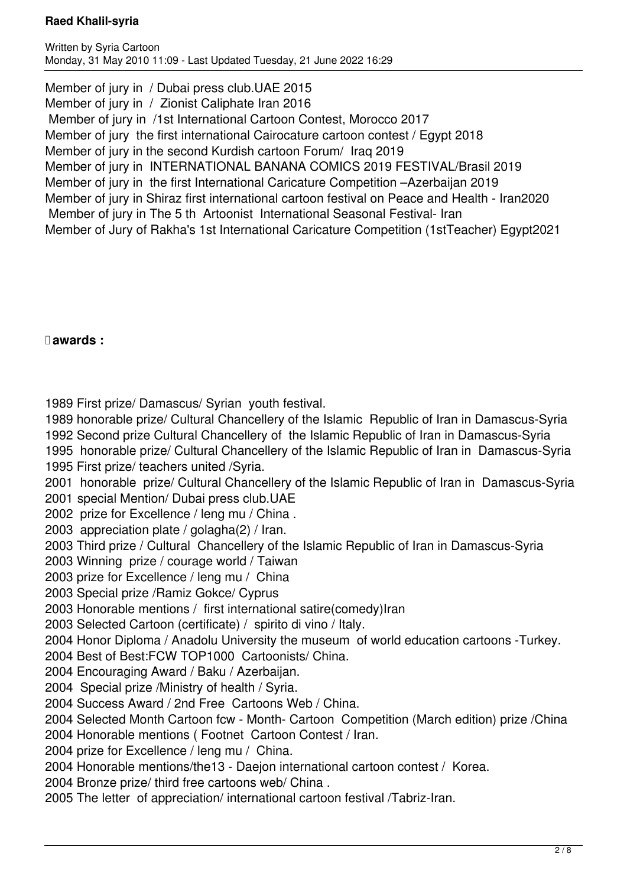Written by Syria Cartoon Monday, 31 May 2010 11:09 - Last Updated Tuesday, 21 June 2022 16:29

Member of jury in / Dubai press club. UAE 2015 Member of jury in / Zionist Caliphate Iran 2016 Member of jury in /1st International Cartoon Contest, Morocco 2017 Member of jury the first international Cairocature cartoon contest / Egypt 2018 Member of jury in the second Kurdish cartoon Forum/ Iraq 2019 Member of jury in INTERNATIONAL BANANA COMICS 2019 FESTIVAL/Brasil 2019 Member of jury in the first International Caricature Competition –Azerbaijan 2019 Member of jury in Shiraz first international cartoon festival on Peace and Health - Iran2020 Member of jury in The 5 th Artoonist International Seasonal Festival- Iran Member of Jury of Rakha's 1st International Caricature Competition (1stTeacher) Egypt2021

 **awards :**

1989 First prize/ Damascus/ Syrian youth festival.

1989 honorable prize/ Cultural Chancellery of the Islamic Republic of Iran in Damascus-Syria

1992 Second prize Cultural Chancellery of the Islamic Republic of Iran in Damascus-Syria

1995 honorable prize/ Cultural Chancellery of the Islamic Republic of Iran in Damascus-Syria

1995 First prize/ teachers united /Syria.

2001 honorable prize/ Cultural Chancellery of the Islamic Republic of Iran in Damascus-Syria 2001 special Mention/ Dubai press club.UAE

2002 prize for Excellence / leng mu / China .

2003 appreciation plate / golagha(2) / Iran.

2003 Third prize / Cultural Chancellery of the Islamic Republic of Iran in Damascus-Syria

2003 Winning prize / courage world / Taiwan

2003 prize for Excellence / leng mu / China

2003 Special prize /Ramiz Gokce/ Cyprus

2003 Honorable mentions / first international satire(comedy)Iran

2003 Selected Cartoon (certificate) / spirito di vino / Italy.

2004 Honor Diploma / Anadolu University the museum of world education cartoons -Turkey.

2004 Best of Best:FCW TOP1000 Cartoonists/ China.

2004 Encouraging Award / Baku / Azerbaijan.

2004 Special prize /Ministry of health / Syria.

2004 Success Award / 2nd Free Cartoons Web / China.

2004 Selected Month Cartoon fcw - Month- Cartoon Competition (March edition) prize /China

2004 Honorable mentions ( Footnet Cartoon Contest / Iran.

2004 prize for Excellence / leng mu / China.

2004 Honorable mentions/the13 - Daejon international cartoon contest / Korea.

2004 Bronze prize/ third free cartoons web/ China .

2005 The letter of appreciation/ international cartoon festival /Tabriz-Iran.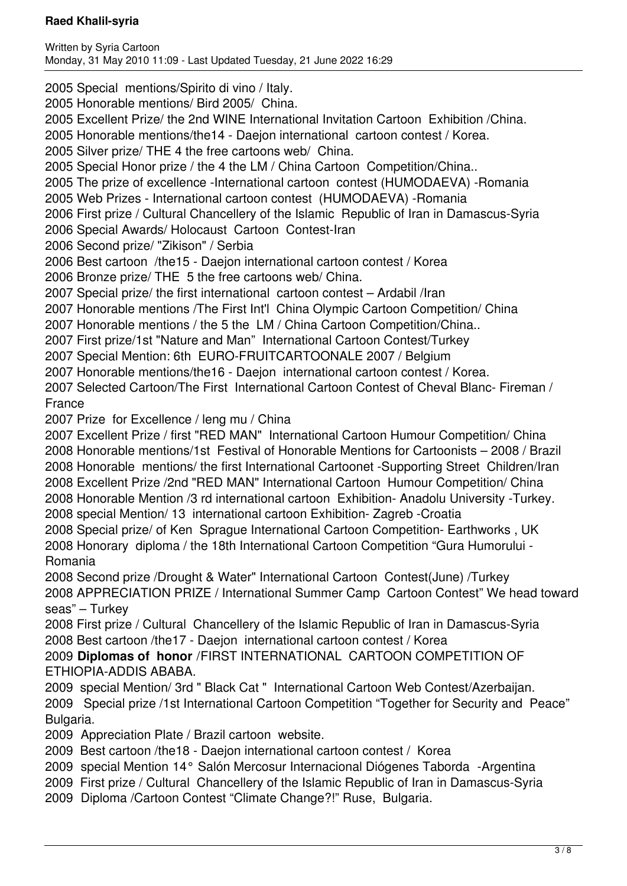2005 Special mentions/Spirito di vino / Italy.

2005 Honorable mentions/ Bird 2005/ China.

2005 Excellent Prize/ the 2nd WINE International Invitation Cartoon Exhibition /China.

2005 Honorable mentions/the14 - Daejon international cartoon contest / Korea.

2005 Silver prize/ THE 4 the free cartoons web/ China.

2005 Special Honor prize / the 4 the LM / China Cartoon Competition/China..

2005 The prize of excellence -International cartoon contest (HUMODAEVA) -Romania

2005 Web Prizes - International cartoon contest (HUMODAEVA) -Romania

2006 First prize / Cultural Chancellery of the Islamic Republic of Iran in Damascus-Syria

2006 Special Awards/ Holocaust Cartoon Contest-Iran

2006 Second prize/ "Zikison" / Serbia

2006 Best cartoon /the15 - Daejon international cartoon contest / Korea

2006 Bronze prize/ THE 5 the free cartoons web/ China.

2007 Special prize/ the first international cartoon contest – Ardabil /Iran

2007 Honorable mentions /The First Int'l China Olympic Cartoon Competition/ China

2007 Honorable mentions / the 5 the LM / China Cartoon Competition/China..

2007 First prize/1st "Nature and Man" International Cartoon Contest/Turkey

2007 Special Mention: 6th EURO-FRUITCARTOONALE 2007 / Belgium

2007 Honorable mentions/the16 - Daejon international cartoon contest / Korea.

2007 Selected Cartoon/The First International Cartoon Contest of Cheval Blanc- Fireman / France

2007 Prize for Excellence / leng mu / China

2007 Excellent Prize / first "RED MAN" International Cartoon Humour Competition/ China 2008 Honorable mentions/1st Festival of Honorable Mentions for Cartoonists – 2008 / Brazil 2008 Honorable mentions/ the first International Cartoonet -Supporting Street Children/Iran 2008 Excellent Prize /2nd "RED MAN" International Cartoon Humour Competition/ China 2008 Honorable Mention /3 rd international cartoon Exhibition- Anadolu University -Turkey. 2008 special Mention/ 13 international cartoon Exhibition- Zagreb -Croatia

2008 Special prize/ of Ken Sprague International Cartoon Competition- Earthworks , UK 2008 Honorary diploma / the 18th International Cartoon Competition "Gura Humorului - Romania

2008 Second prize /Drought & Water" International Cartoon Contest(June) /Turkey

2008 APPRECIATION PRIZE / International Summer Camp Cartoon Contest" We head toward seas" – Turkey

2008 First prize / Cultural Chancellery of the Islamic Republic of Iran in Damascus-Syria 2008 Best cartoon /the17 - Daejon international cartoon contest / Korea

2009 **Diplomas of honor** /FIRST INTERNATIONAL CARTOON COMPETITION OF ETHIOPIA-ADDIS ABABA.

2009 special Mention/ 3rd " Black Cat " International Cartoon Web Contest/Azerbaijan. 2009 Special prize /1st International Cartoon Competition "Together for Security and Peace" Bulgaria.

2009 Appreciation Plate / Brazil cartoon website.

2009 Best cartoon /the18 - Daejon international cartoon contest / Korea

2009 special Mention 14° Salón Mercosur Internacional Diógenes Taborda -Argentina

2009 First prize / Cultural Chancellery of the Islamic Republic of Iran in Damascus-Syria

2009 Diploma /Cartoon Contest "Climate Change?!" Ruse, Bulgaria.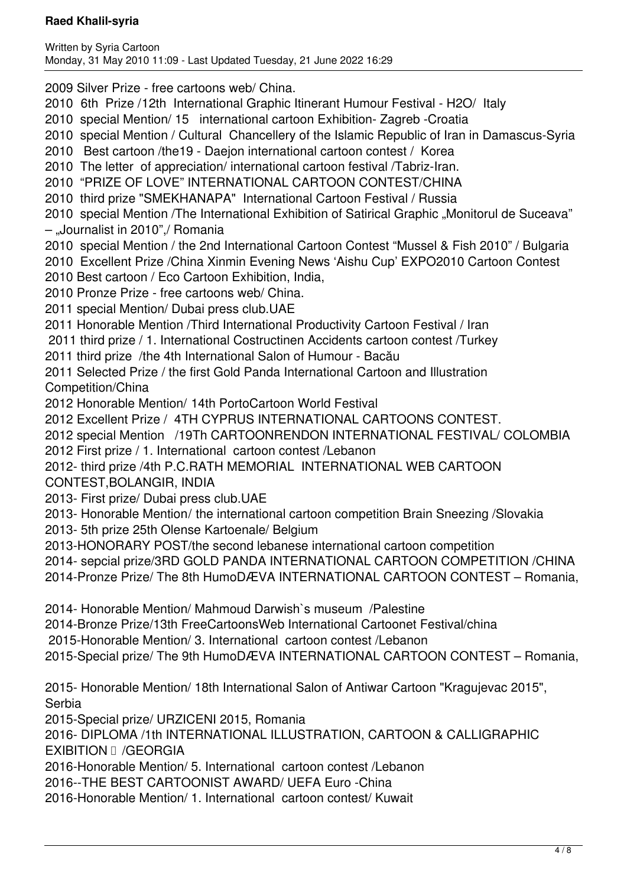2009 Silver Prize - free cartoons web/ China.

- 2010 6th Prize /12th International Graphic Itinerant Humour Festival H2O/ Italy
- 2010 special Mention/ 15 international cartoon Exhibition- Zagreb -Croatia
- 2010 special Mention / Cultural Chancellery of the Islamic Republic of Iran in Damascus-Syria
- 2010 Best cartoon /the19 Daejon international cartoon contest / Korea

2010 The letter of appreciation/ international cartoon festival /Tabriz-Iran.

2010 "PRIZE OF LOVE" INTERNATIONAL CARTOON CONTEST/CHINA

2010 third prize "SMEKHANAPA" International Cartoon Festival / Russia

2010 special Mention /The International Exhibition of Satirical Graphic "Monitorul de Suceava" – "Journalist in 2010",/ Romania

2010 special Mention / the 2nd International Cartoon Contest "Mussel & Fish 2010" / Bulgaria

2010 Excellent Prize /China Xinmin Evening News 'Aishu Cup' EXPO2010 Cartoon Contest

2010 Best cartoon / Eco Cartoon Exhibition, India,

- 2010 Pronze Prize free cartoons web/ China.
- 2011 special Mention/ Dubai press club.UAE

2011 Honorable Mention /Third International Productivity Cartoon Festival / Iran

- 2011 third prize / 1. International Costructinen Accidents cartoon contest /Turkey
- 2011 third prize /the 4th International Salon of Humour Bacău

2011 Selected Prize / the first Gold Panda International Cartoon and Illustration Competition/China

2012 Honorable Mention/ 14th PortoCartoon World Festival

2012 Excellent Prize / 4TH CYPRUS INTERNATIONAL CARTOONS CONTEST.

2012 special Mention /19Th CARTOONRENDON INTERNATIONAL FESTIVAL/ COLOMBIA

2012 First prize / 1. International cartoon contest /Lebanon

2012- third prize /4th P.C.RATH MEMORIAL INTERNATIONAL WEB CARTOON

- CONTEST,BOLANGIR, INDIA
- 2013- First prize/ Dubai press club.UAE
- 2013- Honorable Mention/ the international cartoon competition Brain Sneezing /Slovakia
- 2013- 5th prize 25th Olense Kartoenale/ Belgium
- 2013-HONORARY POST/the second lebanese international cartoon competition

2014- sepcial prize/3RD GOLD PANDA INTERNATIONAL CARTOON COMPETITION /CHINA

2014-Pronze Prize/ The 8th HumoDÆVA INTERNATIONAL CARTOON CONTEST – Romania,

2014- Honorable Mention/ Mahmoud Darwish`s museum /Palestine

2014-Bronze Prize/13th FreeCartoonsWeb International Cartoonet Festival/china

2015-Honorable Mention/ 3. International cartoon contest /Lebanon

2015-Special prize/ The 9th HumoDÆVA INTERNATIONAL CARTOON CONTEST – Romania,

2015- Honorable Mention/ 18th International Salon of Antiwar Cartoon "Kragujevac 2015", Serbia

2015-Special prize/ URZICENI 2015, Romania

2016- DIPLOMA /1th INTERNATIONAL ILLUSTRATION, CARTOON & CALLIGRAPHIC EXIBITION **II** /GEORGIA

2016-Honorable Mention/ 5. International cartoon contest /Lebanon

2016--THE BEST CARTOONIST AWARD/ UEFA Euro -China

2016-Honorable Mention/ 1. International cartoon contest/ Kuwait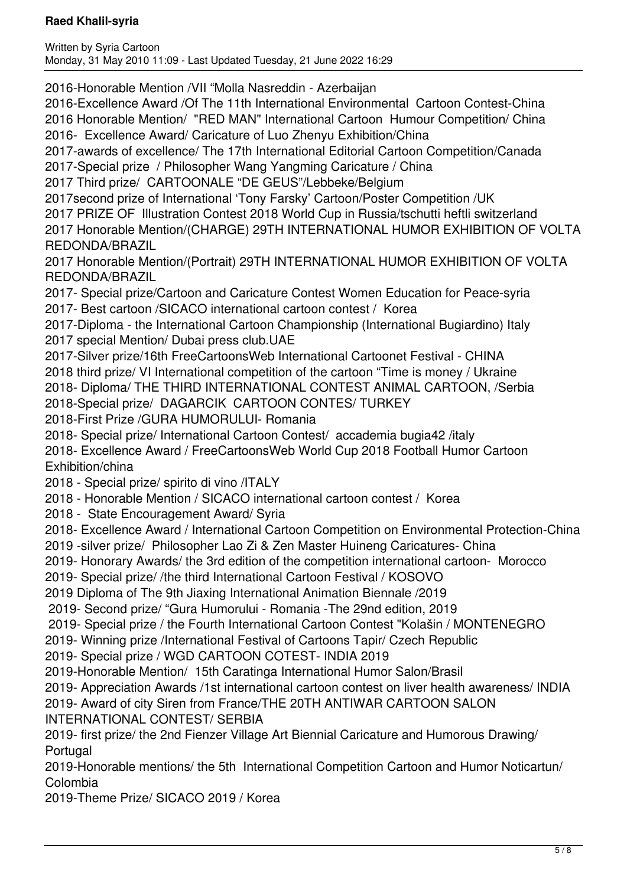Written by Syria Cartoon Monday, 31 May 2010 11:09 - Last Updated Tuesday, 21 June 2022 16:29

2016-Honorable Mention /VII "Molla Nasreddin - Azerbaijan

2016-Excellence Award /Of The 11th International Environmental Cartoon Contest-China

2016 Honorable Mention/ "RED MAN" International Cartoon Humour Competition/ China

2016- Excellence Award/ Caricature of Luo Zhenyu Exhibition/China

2017-awards of excellence/ The 17th International Editorial Cartoon Competition/Canada

2017-Special prize / Philosopher Wang Yangming Caricature / China

2017 Third prize/ CARTOONALE "DE GEUS"/Lebbeke/Belgium

2017second prize of International 'Tony Farsky' Cartoon/Poster Competition /UK

2017 PRIZE OF Illustration Contest 2018 World Cup in Russia/tschutti heftli switzerland

2017 Honorable Mention/(CHARGE) 29TH INTERNATIONAL HUMOR EXHIBITION OF VOLTA REDONDA/BRAZIL

2017 Honorable Mention/(Portrait) 29TH INTERNATIONAL HUMOR EXHIBITION OF VOLTA REDONDA/BRAZIL

2017- Special prize/Cartoon and Caricature Contest Women Education for Peace-syria 2017- Best cartoon /SICACO international cartoon contest / Korea

2017-Diploma - the International Cartoon Championship (International Bugiardino) Italy 2017 special Mention/ Dubai press club.UAE

2017-Silver prize/16th FreeCartoonsWeb International Cartoonet Festival - CHINA

2018 third prize/ VI International competition of the cartoon "Time is money / Ukraine

2018- Diploma/ THE THIRD INTERNATIONAL CONTEST ANIMAL CARTOON, /Serbia

2018-Special prize/ DAGARCIK CARTOON CONTES/ TURKEY

2018-First Prize /GURA HUMORULUI- Romania

2018- Special prize/ International Cartoon Contest/ accademia bugia42 /italy

2018- Excellence Award / FreeCartoonsWeb World Cup 2018 Football Humor Cartoon Exhibition/china

2018 - Special prize/ spirito di vino /ITALY

2018 - Honorable Mention / SICACO international cartoon contest / Korea

2018 - State Encouragement Award/ Syria

2018- Excellence Award / International Cartoon Competition on Environmental Protection-China

2019 -silver prize/ Philosopher Lao Zi & Zen Master Huineng Caricatures- China

2019- Honorary Awards/ the 3rd edition of the competition international cartoon- Morocco

2019- Special prize/ /the third International Cartoon Festival / KOSOVO

2019 Diploma of The 9th Jiaxing International Animation Biennale /2019

2019- Second prize/ "Gura Humorului - Romania -The 29nd edition, 2019

2019- Special prize / the Fourth International Cartoon Contest "Kolašin / MONTENEGRO

2019- Winning prize /International Festival of Cartoons Tapir/ Czech Republic

2019- Special prize / WGD CARTOON COTEST- INDIA 2019

2019-Honorable Mention/ 15th Caratinga International Humor Salon/Brasil

2019- Appreciation Awards /1st international cartoon contest on liver health awareness/ INDIA

2019- Award of city Siren from France/THE 20TH ANTIWAR CARTOON SALON

INTERNATIONAL CONTEST/ SERBIA

2019- first prize/ the 2nd Fienzer Village Art Biennial Caricature and Humorous Drawing/ **Portugal** 

2019-Honorable mentions/ the 5th International Competition Cartoon and Humor Noticartun/ Colombia

2019-Theme Prize/ SICACO 2019 / Korea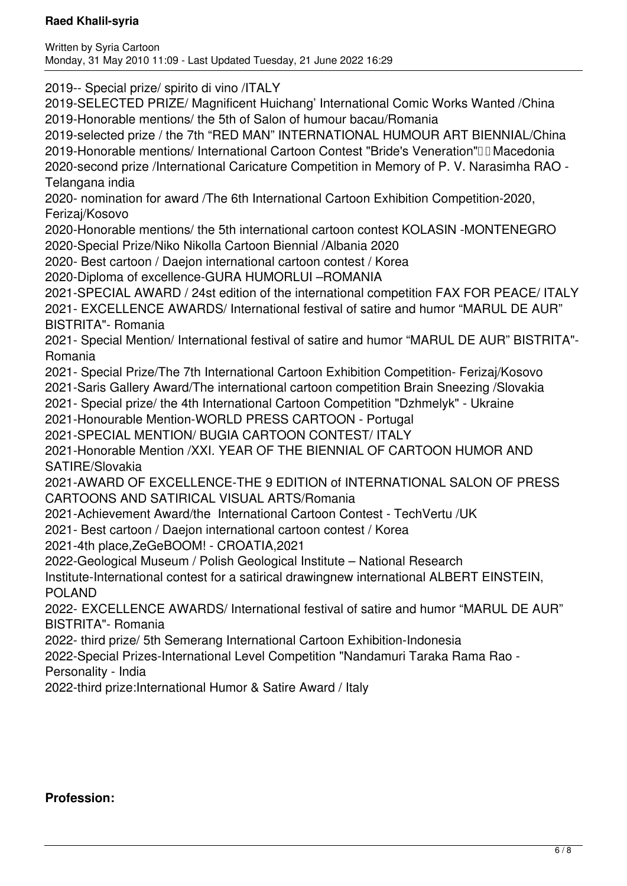2019-- Special prize/ spirito di vino /ITALY

2019-SELECTED PRIZE/ Magnificent Huichang' International Comic Works Wanted /China 2019-Honorable mentions/ the 5th of Salon of humour bacau/Romania

2019-selected prize / the 7th "RED MAN" INTERNATIONAL HUMOUR ART BIENNIAL/China 2019-Honorable mentions/ International Cartoon Contest "Bride's Veneration"<sup>II</sup> Macedonia 2020-second prize /International Caricature Competition in Memory of P. V. Narasimha RAO - Telangana india

2020- nomination for award /The 6th International Cartoon Exhibition Competition-2020, Ferizaj/Kosovo

2020-Honorable mentions/ the 5th international cartoon contest KOLASIN -MONTENEGRO 2020-Special Prize/Niko Nikolla Cartoon Biennial /Albania 2020

2020- Best cartoon / Daejon international cartoon contest / Korea

2020-Diploma of excellence-GURA HUMORLUI –ROMANIA

2021-SPECIAL AWARD / 24st edition of the international competition FAX FOR PEACE/ ITALY

2021- EXCELLENCE AWARDS/ International festival of satire and humor "MARUL DE AUR" BISTRITA"- Romania

2021- Special Mention/ International festival of satire and humor "MARUL DE AUR" BISTRITA"- Romania

2021- Special Prize/The 7th International Cartoon Exhibition Competition- Ferizaj/Kosovo

2021-Saris Gallery Award/The international cartoon competition Brain Sneezing /Slovakia

2021- Special prize/ the 4th International Cartoon Competition "Dzhmelyk" - Ukraine

2021-Honourable Mention-WORLD PRESS CARTOON - Portugal

2021-SPECIAL MENTION/ BUGIA CARTOON CONTEST/ ITALY

2021-Honorable Mention /XXI. YEAR OF THE BIENNIAL OF CARTOON HUMOR AND SATIRE/Slovakia

2021-AWARD OF EXCELLENCE-THE 9 EDITION of INTERNATIONAL SALON OF PRESS CARTOONS AND SATIRICAL VISUAL ARTS/Romania

2021-Achievement Award/the International Cartoon Contest - TechVertu /UK

2021- Best cartoon / Daejon international cartoon contest / Korea

2021-4th place,ZeGeBOOM! - CROATIA,2021

2022-Geological Museum / Polish Geological Institute – National Research

Institute-International contest for a satirical drawingnew international ALBERT EINSTEIN, POLAND

2022- EXCELLENCE AWARDS/ International festival of satire and humor "MARUL DE AUR" BISTRITA"- Romania

2022- third prize/ 5th Semerang International Cartoon Exhibition-Indonesia

2022-Special Prizes-International Level Competition "Nandamuri Taraka Rama Rao - Personality - India

2022-third prize:International Humor & Satire Award / Italy

# **Profession:**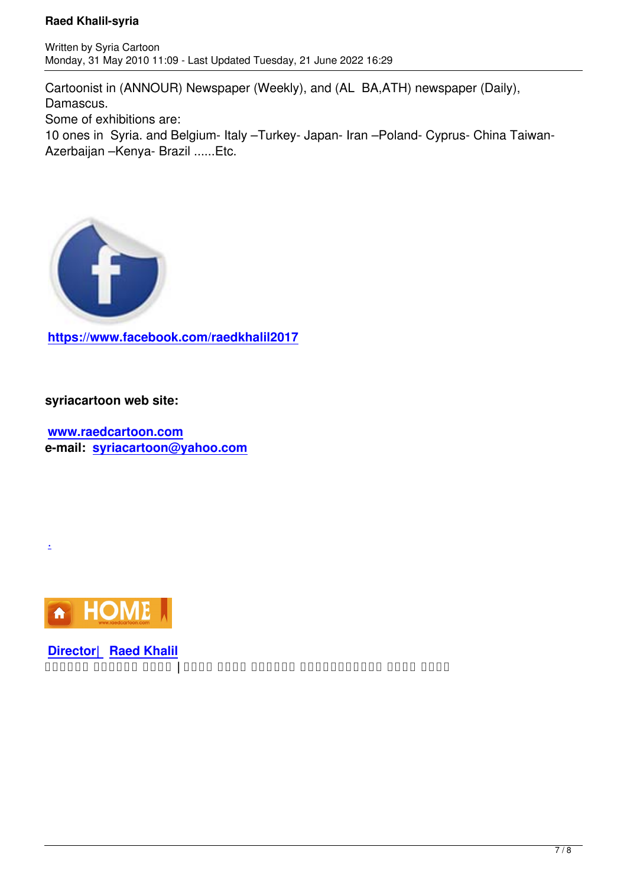Cartoonist in (ANNOUR) Newspaper (Weekly), and (AL BA,ATH) newspaper (Daily), Damascus. Some of exhibitions are: 10 ones in Syria. and Belgium- Italy –Turkey- Japan- Iran –Poland- Cyprus- China Taiwan-Azerbaijan –Kenya- Brazil ......Etc.



**https://www.facebook.com/raedkhalil2017**

**[syriacartoon web site:](https://www.facebook.com/raedkhalil2017)**

**www.raedcartoon.com e-mail: syriacartoon@yahoo.com**



.

**Director| Raed Khalil موقع رسام الكاريكاتور السوري رائد خليل | جميع الحقوق محفوظة**